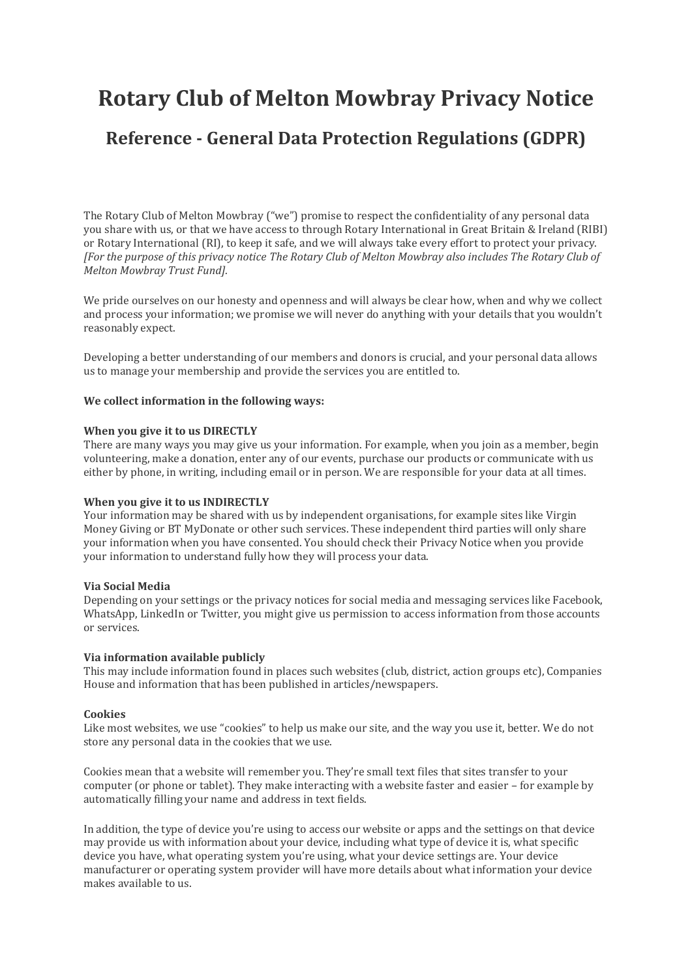# **Rotary Club of Melton Mowbray Privacy Notice**

# **Reference - General Data Protection Regulations (GDPR)**

The Rotary Club of Melton Mowbray ("we") promise to respect the confidentiality of any personal data you share with us, or that we have access to through Rotary International in Great Britain & Ireland (RIBI) or Rotary International (RI), to keep it safe, and we will always take every effort to protect your privacy. *[For the purpose of this privacy notice The Rotary Club of Melton Mowbray also includes The Rotary Club of Melton Mowbray Trust Fund].*

We pride ourselves on our honesty and openness and will always be clear how, when and why we collect and process your information; we promise we will never do anything with your details that you wouldn't reasonably expect.

Developing a better understanding of our members and donors is crucial, and your personal data allows us to manage your membership and provide the services you are entitled to.

# **We collect information in the following ways:**

#### **When you give it to us DIRECTLY**

There are many ways you may give us your information. For example, when you join as a member, begin volunteering, make a donation, enter any of our events, purchase our products or communicate with us either by phone, in writing, including email or in person. We are responsible for your data at all times.

# **When you give it to us INDIRECTLY**

Your information may be shared with us by independent organisations, for example sites like Virgin Money Giving or BT MyDonate or other such services. These independent third parties will only share your information when you have consented. You should check their Privacy Notice when you provide your information to understand fully how they will process your data.

# **Via Social Media**

Depending on your settings or the privacy notices for social media and messaging services like Facebook, WhatsApp, LinkedIn or Twitter, you might give us permission to access information from those accounts or services.

# **Via information available publicly**

This may include information found in places such websites (club, district, action groups etc), Companies House and information that has been published in articles/newspapers.

# **Cookies**

Like most websites, we use "cookies" to help us make our site, and the way you use it, better. We do not store any personal data in the cookies that we use.

Cookies mean that a website will remember you. They're small text files that sites transfer to your computer (or phone or tablet). They make interacting with a website faster and easier – for example by automatically filling your name and address in text fields.

In addition, the type of device you're using to access our website or apps and the settings on that device may provide us with information about your device, including what type of device it is, what specific device you have, what operating system you're using, what your device settings are. Your device manufacturer or operating system provider will have more details about what information your device makes available to us.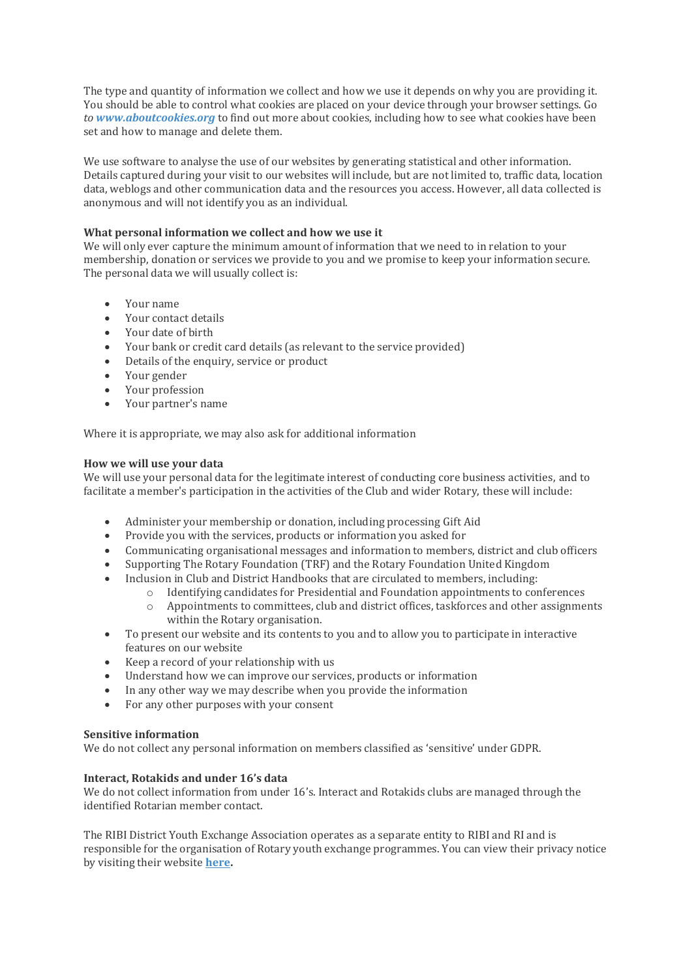The type and quantity of information we collect and how we use it depends on why you are providing it. You should be able to control what cookies are placed on your device through your browser settings. Go *to [www.aboutcookies.org](https://www.aboutcookies.org/)* to find out more about cookies, including how to see what cookies have been set and how to manage and delete them.

We use software to analyse the use of our websites by generating statistical and other information. Details captured during your visit to our websites will include, but are not limited to, traffic data, location data, weblogs and other communication data and the resources you access. However, all data collected is anonymous and will not identify you as an individual.

# **What personal information we collect and how we use it**

We will only ever capture the minimum amount of information that we need to in relation to your membership, donation or services we provide to you and we promise to keep your information secure. The personal data we will usually collect is:

- Your name
- Your contact details
- Your date of birth
- Your bank or credit card details (as relevant to the service provided)
- Details of the enquiry, service or product
- Your gender
- Your profession
- Your partner's name

Where it is appropriate, we may also ask for additional information

# **How we will use your data**

We will use your personal data for the legitimate interest of conducting core business activities, and to facilitate a member's participation in the activities of the Club and wider Rotary, these will include:

- Administer your membership or donation, including processing Gift Aid
- Provide you with the services, products or information you asked for
- Communicating organisational messages and information to members, district and club officers
- Supporting The Rotary Foundation (TRF) and the Rotary Foundation United Kingdom
- Inclusion in Club and District Handbooks that are circulated to members, including:
	- o Identifying candidates for Presidential and Foundation appointments to conferences
	- o Appointments to committees, club and district offices, taskforces and other assignments within the Rotary organisation.
- To present our website and its contents to you and to allow you to participate in interactive features on our website
- Keep a record of your relationship with us
- Understand how we can improve our services, products or information
- In any other way we may describe when you provide the information
- For any other purposes with your consent

# **Sensitive information**

We do not collect any personal information on members classified as 'sensitive' under GDPR.

# **Interact, Rotakids and under 16's data**

We do not collect information from under 16's. Interact and Rotakids clubs are managed through the identified Rotarian member contact.

The RIBI District Youth Exchange Association operates as a separate entity to RIBI and RI and is responsible for the organisation of Rotary youth exchange programmes. You can view their privacy notice by visiting their website **[here.](https://www.youthexchange.org.uk/)**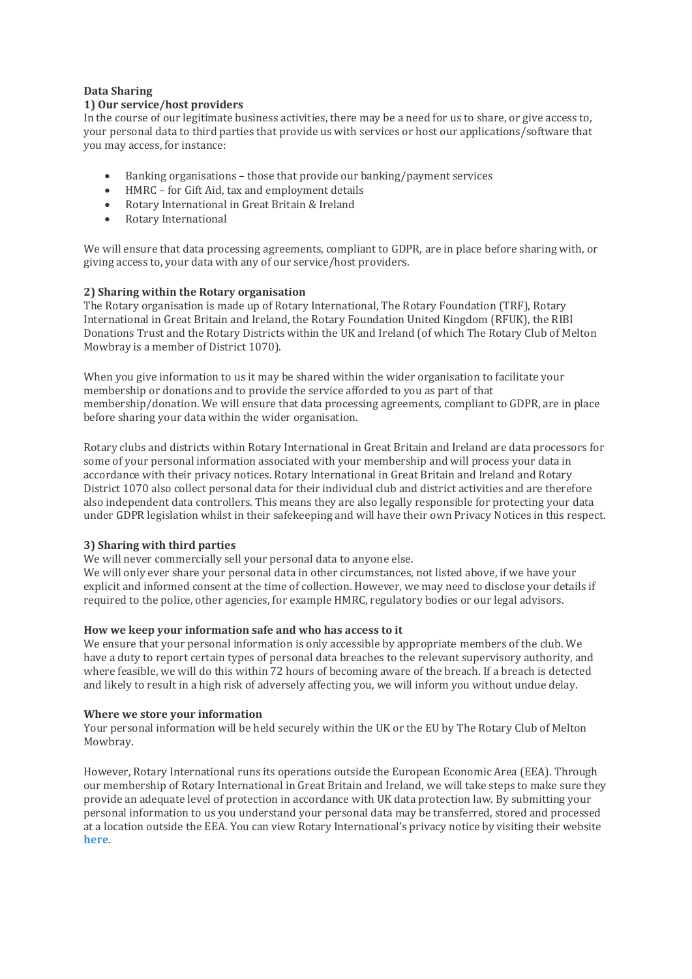# **Data Sharing**

# **1) Our service/host providers**

In the course of our legitimate business activities, there may be a need for us to share, or give access to, your personal data to third parties that provide us with services or host our applications/software that you may access, for instance:

- Banking organisations those that provide our banking/payment services
- HMRC for Gift Aid, tax and employment details
- Rotary International in Great Britain & Ireland
- Rotary International

We will ensure that data processing agreements, compliant to GDPR, are in place before sharing with, or giving access to, your data with any of our service/host providers.

# **2) Sharing within the Rotary organisation**

The Rotary organisation is made up of Rotary International, The Rotary Foundation (TRF), Rotary International in Great Britain and Ireland, the Rotary Foundation United Kingdom (RFUK), the RIBI Donations Trust and the Rotary Districts within the UK and Ireland (of which The Rotary Club of Melton Mowbray is a member of District 1070).

When you give information to us it may be shared within the wider organisation to facilitate your membership or donations and to provide the service afforded to you as part of that membership/donation. We will ensure that data processing agreements, compliant to GDPR, are in place before sharing your data within the wider organisation.

Rotary clubs and districts within Rotary International in Great Britain and Ireland are data processors for some of your personal information associated with your membership and will process your data in accordance with their privacy notices. Rotary International in Great Britain and Ireland and Rotary District 1070 also collect personal data for their individual club and district activities and are therefore also independent data controllers. This means they are also legally responsible for protecting your data under GDPR legislation whilst in their safekeeping and will have their own Privacy Notices in this respect.

# **3) Sharing with third parties**

We will never commercially sell your personal data to anyone else.

We will only ever share your personal data in other circumstances, not listed above, if we have your explicit and informed consent at the time of collection. However, we may need to disclose your details if required to the police, other agencies, for example HMRC, regulatory bodies or our legal advisors.

# **How we keep your information safe and who has access to it**

We ensure that your personal information is only accessible by appropriate members of the club. We have a duty to report certain types of personal data breaches to the relevant supervisory authority, and where feasible, we will do this within 72 hours of becoming aware of the breach. If a breach is detected and likely to result in a high risk of adversely affecting you, we will inform you without undue delay.

# **Where we store your information**

Your personal information will be held securely within the UK or the EU by The Rotary Club of Melton Mowbray.

However, Rotary International runs its operations outside the European Economic Area (EEA). Through our membership of Rotary International in Great Britain and Ireland, we will take steps to make sure they provide an adequate level of protection in accordance with UK data protection law. By submitting your personal information to us you understand your personal data may be transferred, stored and processed at a location outside the EEA. You can view Rotary International's privacy notice by visiting their website **[here](https://my.rotary.org/en/privacy-policy)**.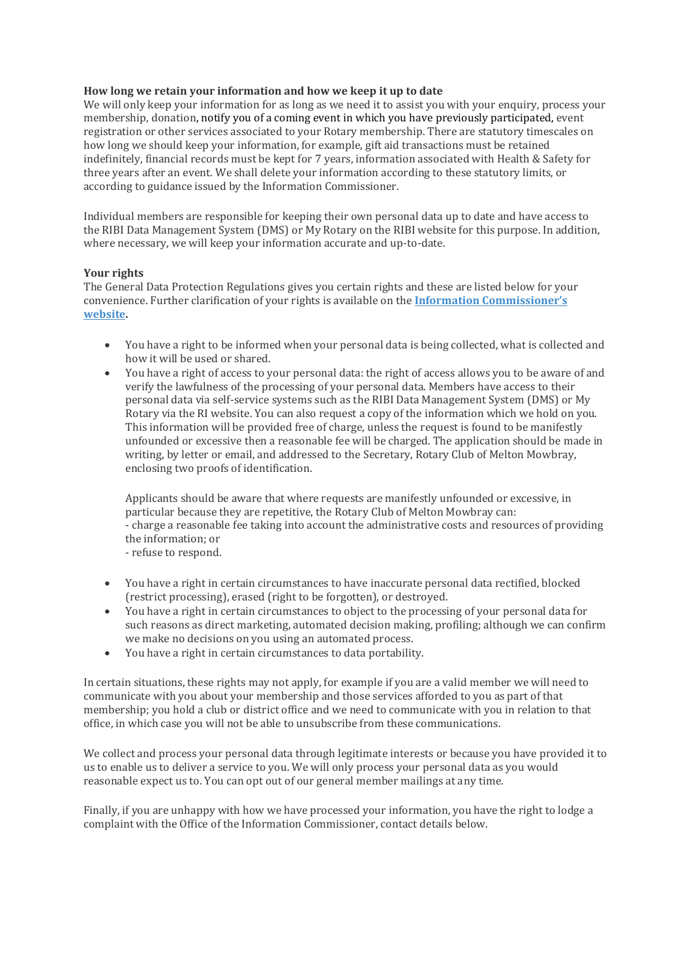# **How long we retain your information and how we keep it up to date**

We will only keep your information for as long as we need it to assist you with your enquiry, process your membership, donation, notify you of a coming event in which you have previously participated, event registration or other services associated to your Rotary membership. There are statutory timescales on how long we should keep your information, for example, gift aid transactions must be retained indefinitely, financial records must be kept for 7 years, information associated with Health & Safety for three years after an event. We shall delete your information according to these statutory limits, or according to guidance issued by the Information Commissioner.

Individual members are responsible for keeping their own personal data up to date and have access to the RIBI Data Management System (DMS) or My Rotary on the RIBI website for this purpose. In addition, where necessary, we will keep your information accurate and up-to-date.

# **Your rights**

The General Data Protection Regulations gives you certain rights and these are listed below for your convenience. Further clarification of your rights is available on the **[Information Commissioner](https://ico.org.uk/for-organisations/guide-to-the-general-data-protection-regulation-gdpr/individual-rights/)'s [website.](https://ico.org.uk/for-organisations/guide-to-the-general-data-protection-regulation-gdpr/individual-rights/)**

- You have a right to be informed when your personal data is being collected, what is collected and how it will be used or shared.
- You have a right of access to your personal data: the right of access allows you to be aware of and verify the lawfulness of the processing of your personal data. Members have access to their personal data via self-service systems such as the RIBI Data Management System (DMS) or My Rotary via the RI website. You can also request a copy of the information which we hold on you. This information will be provided free of charge, unless the request is found to be manifestly unfounded or excessive then a reasonable fee will be charged. The application should be made in writing, by letter or email, and addressed to the Secretary, Rotary Club of Melton Mowbray, enclosing two proofs of identification.

Applicants should be aware that where requests are manifestly unfounded or excessive, in particular because they are repetitive, the Rotary Club of Melton Mowbray can: - charge a reasonable fee taking into account the administrative costs and resources of providing the information; or - refuse to respond.

- 
- You have a right in certain circumstances to have inaccurate personal data rectified, blocked (restrict processing), erased (right to be forgotten), or destroyed.
- You have a right in certain circumstances to object to the processing of your personal data for such reasons as direct marketing, automated decision making, profiling; although we can confirm we make no decisions on you using an automated process.
- You have a right in certain circumstances to data portability.

In certain situations, these rights may not apply, for example if you are a valid member we will need to communicate with you about your membership and those services afforded to you as part of that membership; you hold a club or district office and we need to communicate with you in relation to that office, in which case you will not be able to unsubscribe from these communications.

We collect and process your personal data through legitimate interests or because you have provided it to us to enable us to deliver a service to you. We will only process your personal data as you would reasonable expect us to. You can opt out of our general member mailings at any time.

Finally, if you are unhappy with how we have processed your information, you have the right to lodge a complaint with the Office of the Information Commissioner, contact details below.